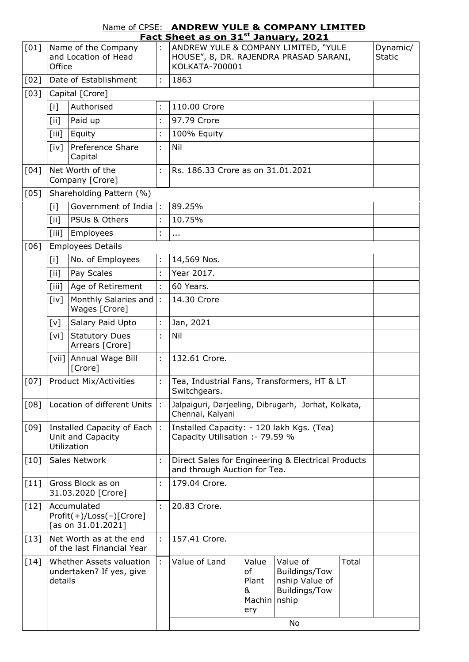| Name of CPSE: ANDREW YULE & COMPANY LIMITED     |
|-------------------------------------------------|
| Fact Sheet as on 31 <sup>st</sup> January, 2021 |

| [01]               | Name of the Company<br>and Location of Head<br>Office                               |                                                       |                      | בכ ווט כם מא טוו שב<br>ANDREW YULE & COMPANY LIMITED, "YULE<br>HOUSE", 8, DR. RAJENDRA PRASAD SARANI,<br>KOLKATA-700001 | Dynamic/<br><b>Static</b>                                                    |                                                                           |       |  |  |  |
|--------------------|-------------------------------------------------------------------------------------|-------------------------------------------------------|----------------------|-------------------------------------------------------------------------------------------------------------------------|------------------------------------------------------------------------------|---------------------------------------------------------------------------|-------|--|--|--|
| [02]               | Date of Establishment                                                               |                                                       |                      | 1863                                                                                                                    |                                                                              |                                                                           |       |  |  |  |
| [03]               |                                                                                     | Capital [Crore]                                       |                      |                                                                                                                         |                                                                              |                                                                           |       |  |  |  |
|                    | Authorised<br>[i]                                                                   |                                                       |                      | 110.00 Crore                                                                                                            |                                                                              |                                                                           |       |  |  |  |
|                    | $\lceil$ ii]                                                                        | Paid up                                               | ÷                    | 97.79 Crore                                                                                                             |                                                                              |                                                                           |       |  |  |  |
|                    | [iii]                                                                               | Equity                                                | t                    | 100% Equity                                                                                                             |                                                                              |                                                                           |       |  |  |  |
|                    | $\lceil i \vee \rceil$                                                              | Preference Share<br>Capital                           | ÷                    | Nil                                                                                                                     |                                                                              |                                                                           |       |  |  |  |
| $\lceil 04 \rceil$ |                                                                                     | Net Worth of the<br>Company [Crore]                   | ÷                    |                                                                                                                         | Rs. 186.33 Crore as on 31.01.2021                                            |                                                                           |       |  |  |  |
| [05]               |                                                                                     | Shareholding Pattern (%)                              |                      |                                                                                                                         |                                                                              |                                                                           |       |  |  |  |
|                    | [i]                                                                                 | Government of India $\vert$ :                         |                      | 89.25%                                                                                                                  |                                                                              |                                                                           |       |  |  |  |
|                    | [iii]                                                                               | PSUs & Others                                         | ÷,                   | 10.75%                                                                                                                  |                                                                              |                                                                           |       |  |  |  |
|                    | $\lceil$ iii]                                                                       | Employees                                             | ÷                    | .                                                                                                                       |                                                                              |                                                                           |       |  |  |  |
| [06]               |                                                                                     | <b>Employees Details</b>                              |                      |                                                                                                                         |                                                                              |                                                                           |       |  |  |  |
|                    | $[1]$                                                                               | No. of Employees                                      | ÷                    | 14,569 Nos.                                                                                                             |                                                                              |                                                                           |       |  |  |  |
|                    | [iii]                                                                               | Pay Scales                                            | ÷                    | Year 2017.                                                                                                              |                                                                              |                                                                           |       |  |  |  |
|                    | [iii]                                                                               | Age of Retirement                                     | $\ddot{\phantom{a}}$ | 60 Years.                                                                                                               |                                                                              |                                                                           |       |  |  |  |
|                    | [iv]                                                                                | Monthly Salaries and<br>Wages [Crore]                 | ÷                    | 14.30 Crore                                                                                                             |                                                                              |                                                                           |       |  |  |  |
|                    | [v]                                                                                 | Salary Paid Upto                                      | ÷                    | Jan, 2021                                                                                                               |                                                                              |                                                                           |       |  |  |  |
|                    | $\lceil vi \rceil$                                                                  | <b>Statutory Dues</b><br>Arrears [Crore]              | t                    | Nil                                                                                                                     |                                                                              |                                                                           |       |  |  |  |
|                    |                                                                                     | [vii] Annual Wage Bill<br>[Crore]                     | ÷                    | 132.61 Crore.                                                                                                           |                                                                              |                                                                           |       |  |  |  |
| $[07]$             | <b>Product Mix/Activities</b>                                                       |                                                       |                      | Tea, Industrial Fans, Transformers, HT & LT<br>Switchgears.                                                             |                                                                              |                                                                           |       |  |  |  |
| [08]               | Location of different Units<br>Ŀ.                                                   |                                                       |                      | Jalpaiguri, Darjeeling, Dibrugarh, Jorhat, Kolkata,<br>Chennai, Kalyani                                                 |                                                                              |                                                                           |       |  |  |  |
| $[09]$             | Installed Capacity of Each<br>Unit and Capacity<br>Utilization                      |                                                       |                      |                                                                                                                         | Installed Capacity: - 120 lakh Kgs. (Tea)<br>Capacity Utilisation :- 79.59 % |                                                                           |       |  |  |  |
| $[10]$             | Sales Network                                                                       |                                                       |                      | Direct Sales for Engineering & Electrical Products<br>and through Auction for Tea.                                      |                                                                              |                                                                           |       |  |  |  |
| [11]               | Gross Block as on<br>÷<br>179.04 Crore.<br>31.03.2020 [Crore]                       |                                                       |                      |                                                                                                                         |                                                                              |                                                                           |       |  |  |  |
| $[12]$             | Accumulated<br>÷<br>20.83 Crore.<br>$Profit(+)/Loss(-)[Core]$<br>[as on 31.01.2021] |                                                       |                      |                                                                                                                         |                                                                              |                                                                           |       |  |  |  |
| $[13]$             |                                                                                     | Net Worth as at the end<br>of the last Financial Year | ÷                    | 157.41 Crore.                                                                                                           |                                                                              |                                                                           |       |  |  |  |
| $[14]$             | Whether Assets valuation<br>undertaken? If yes, give<br>details                     |                                                       |                      | Value of Land                                                                                                           | Value<br>of<br>Plant<br>&<br>Machin   nship<br>ery                           | Value of<br>Buildings/Tow<br>nship Value of<br>Buildings/Tow<br><b>No</b> | Total |  |  |  |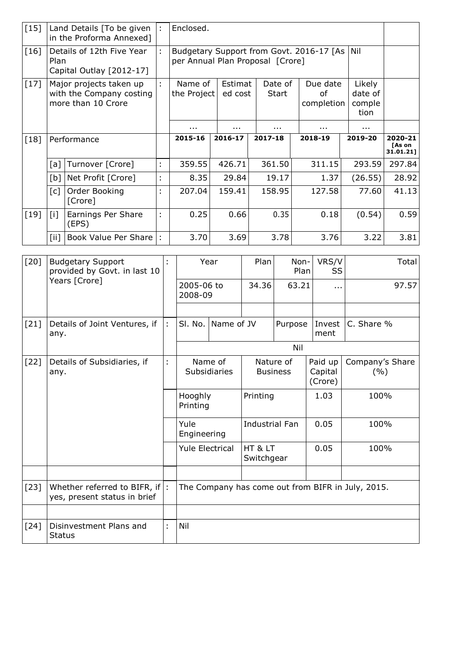| $[15]$ |                                                                           | Enclosed.<br>Land Details [To be given]<br>÷<br>in the Proforma Annexed] |   |                                                                              |                    |                  |                              |                                     |                                |
|--------|---------------------------------------------------------------------------|--------------------------------------------------------------------------|---|------------------------------------------------------------------------------|--------------------|------------------|------------------------------|-------------------------------------|--------------------------------|
| [16]   | Details of 12th Five Year<br>Plan<br>Capital Outlay [2012-17]             |                                                                          |   | Budgetary Support from Govt. 2016-17 [As<br>per Annual Plan Proposal [Crore] |                    |                  |                              |                                     |                                |
| $[17]$ | Major projects taken up<br>with the Company costing<br>more than 10 Crore |                                                                          | ÷ | Name of<br>the Project                                                       | Estimat<br>ed cost | Date of<br>Start | Due date<br>οf<br>completion | Likely<br>date of<br>comple<br>tion |                                |
|        |                                                                           |                                                                          |   | .                                                                            | .                  | .                | .                            | .                                   |                                |
| [18]   | Performance                                                               |                                                                          |   | 2015-16                                                                      | 2016-17            | 2017-18          | 2018-19                      | 2019-20                             | 2020-21<br>[As on<br>31.01.21] |
|        | [a]                                                                       | Turnover [Crore]                                                         | ÷ | 359.55                                                                       | 426.71             | 361.50           | 311.15                       | 293.59                              | 297.84                         |
|        | [b]                                                                       | Net Profit [Crore]                                                       | ÷ | 8.35                                                                         | 29.84              | 19.17            | 1.37                         | (26.55)                             | 28.92                          |
|        | $\lceil c \rceil$                                                         | Order Booking<br>[Crore]                                                 | t | 207.04                                                                       | 159.41             | 158.95           | 127.58                       | 77.60                               | 41.13                          |
|        |                                                                           |                                                                          |   |                                                                              |                    |                  |                              |                                     |                                |
| [19]   | $\lceil i \rceil$                                                         | Earnings Per Share<br>(EPS)                                              | ÷ | 0.25                                                                         | 0.66               | 0.35             | 0.18                         | (0.54)                              | 0.59                           |

| $[20]$ | <b>Budgetary Support</b><br>provided by Govt. in last 10           |   | Year                                                                                            |  | Plan                         | Non-<br>Plan | VRS/V<br>SS                   | Total                  |  |
|--------|--------------------------------------------------------------------|---|-------------------------------------------------------------------------------------------------|--|------------------------------|--------------|-------------------------------|------------------------|--|
|        | Years [Crore]                                                      |   | 2005-06 to<br>2008-09                                                                           |  | 34.36                        | 63.21        | $\cdots$                      | 97.57                  |  |
|        |                                                                    |   |                                                                                                 |  |                              |              |                               |                        |  |
| $[21]$ | Details of Joint Ventures, if<br>any.                              |   | Name of JV<br>SI. No.                                                                           |  | Purpose                      |              | Invest<br>ment                | C. Share %             |  |
|        |                                                                    |   |                                                                                                 |  | Nil                          |              |                               |                        |  |
| $[22]$ | Details of Subsidiaries, if<br>any.                                |   | Name of<br>Subsidiaries<br>Hooghly<br>Printing<br>Yule<br>Engineering<br><b>Yule Electrical</b> |  | Nature of<br><b>Business</b> |              | Paid up<br>Capital<br>(Crore) | Company's Share<br>(%) |  |
|        |                                                                    |   |                                                                                                 |  |                              | Printing     |                               | 100%                   |  |
|        |                                                                    |   |                                                                                                 |  | <b>Industrial Fan</b>        |              | 0.05                          | 100%                   |  |
|        |                                                                    |   |                                                                                                 |  | HT & LT<br>Switchgear        |              | 0.05                          | 100%                   |  |
|        |                                                                    |   |                                                                                                 |  |                              |              |                               |                        |  |
| $[23]$ | Whether referred to BIFR, if $ $ :<br>yes, present status in brief |   | The Company has come out from BIFR in July, 2015.                                               |  |                              |              |                               |                        |  |
|        |                                                                    |   |                                                                                                 |  |                              |              |                               |                        |  |
| $[24]$ | Disinvestment Plans and<br><b>Status</b>                           | t | Nil                                                                                             |  |                              |              |                               |                        |  |